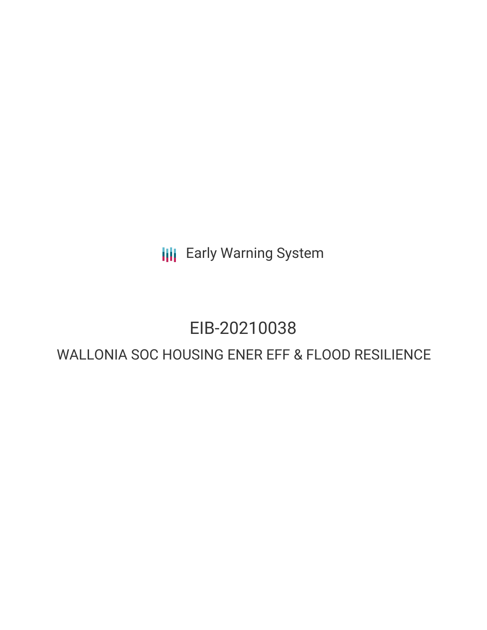**III** Early Warning System

# EIB-20210038

# WALLONIA SOC HOUSING ENER EFF & FLOOD RESILIENCE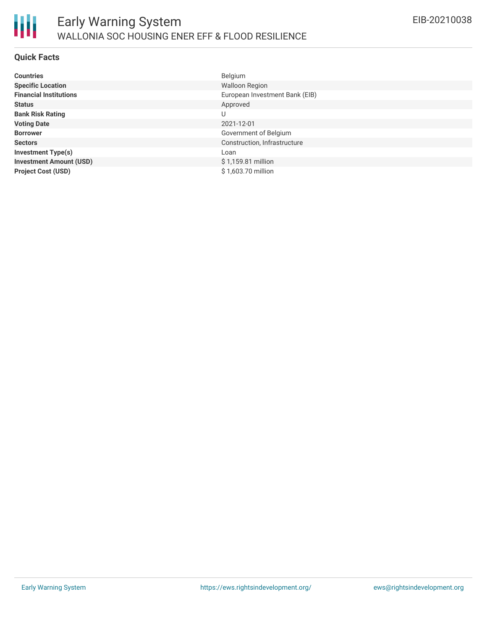

### **Quick Facts**

| <b>Countries</b>               | Belgium                        |
|--------------------------------|--------------------------------|
| <b>Specific Location</b>       | <b>Walloon Region</b>          |
| <b>Financial Institutions</b>  | European Investment Bank (EIB) |
| <b>Status</b>                  | Approved                       |
| <b>Bank Risk Rating</b>        | U                              |
| <b>Voting Date</b>             | 2021-12-01                     |
| <b>Borrower</b>                | Government of Belgium          |
| <b>Sectors</b>                 | Construction, Infrastructure   |
| <b>Investment Type(s)</b>      | Loan                           |
| <b>Investment Amount (USD)</b> | \$1,159.81 million             |
| <b>Project Cost (USD)</b>      | \$1,603.70 million             |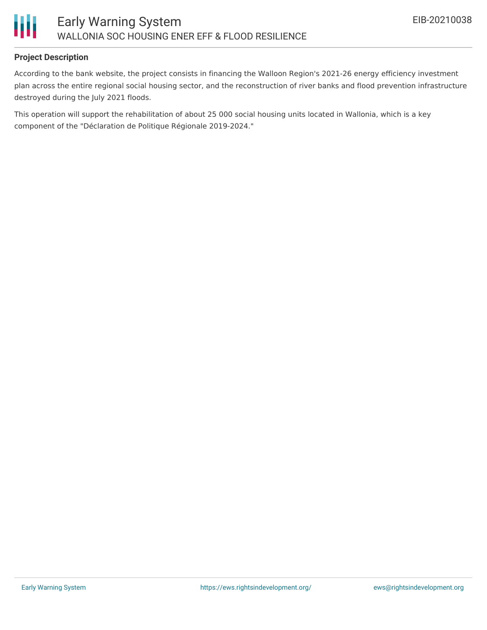

# **Project Description**

According to the bank website, the project consists in financing the Walloon Region's 2021-26 energy efficiency investment plan across the entire regional social housing sector, and the reconstruction of river banks and flood prevention infrastructure destroyed during the July 2021 floods.

This operation will support the rehabilitation of about 25 000 social housing units located in Wallonia, which is a key component of the "Déclaration de Politique Régionale 2019-2024."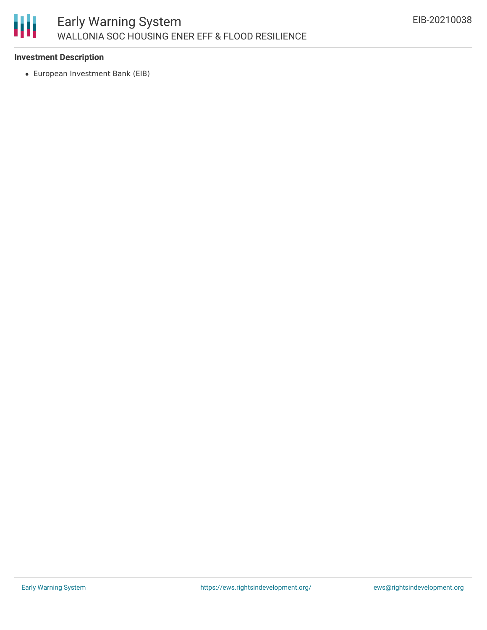

# **Investment Description**

European Investment Bank (EIB)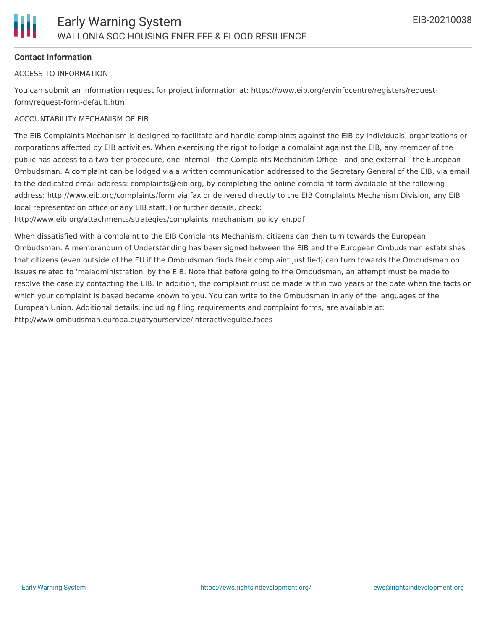# **Contact Information**

#### ACCESS TO INFORMATION

You can submit an information request for project information at: https://www.eib.org/en/infocentre/registers/requestform/request-form-default.htm

#### ACCOUNTABILITY MECHANISM OF EIB

The EIB Complaints Mechanism is designed to facilitate and handle complaints against the EIB by individuals, organizations or corporations affected by EIB activities. When exercising the right to lodge a complaint against the EIB, any member of the public has access to a two-tier procedure, one internal - the Complaints Mechanism Office - and one external - the European Ombudsman. A complaint can be lodged via a written communication addressed to the Secretary General of the EIB, via email to the dedicated email address: complaints@eib.org, by completing the online complaint form available at the following address: http://www.eib.org/complaints/form via fax or delivered directly to the EIB Complaints Mechanism Division, any EIB local representation office or any EIB staff. For further details, check:

http://www.eib.org/attachments/strategies/complaints\_mechanism\_policy\_en.pdf

When dissatisfied with a complaint to the EIB Complaints Mechanism, citizens can then turn towards the European Ombudsman. A memorandum of Understanding has been signed between the EIB and the European Ombudsman establishes that citizens (even outside of the EU if the Ombudsman finds their complaint justified) can turn towards the Ombudsman on issues related to 'maladministration' by the EIB. Note that before going to the Ombudsman, an attempt must be made to resolve the case by contacting the EIB. In addition, the complaint must be made within two years of the date when the facts on which your complaint is based became known to you. You can write to the Ombudsman in any of the languages of the European Union. Additional details, including filing requirements and complaint forms, are available at: http://www.ombudsman.europa.eu/atyourservice/interactiveguide.faces